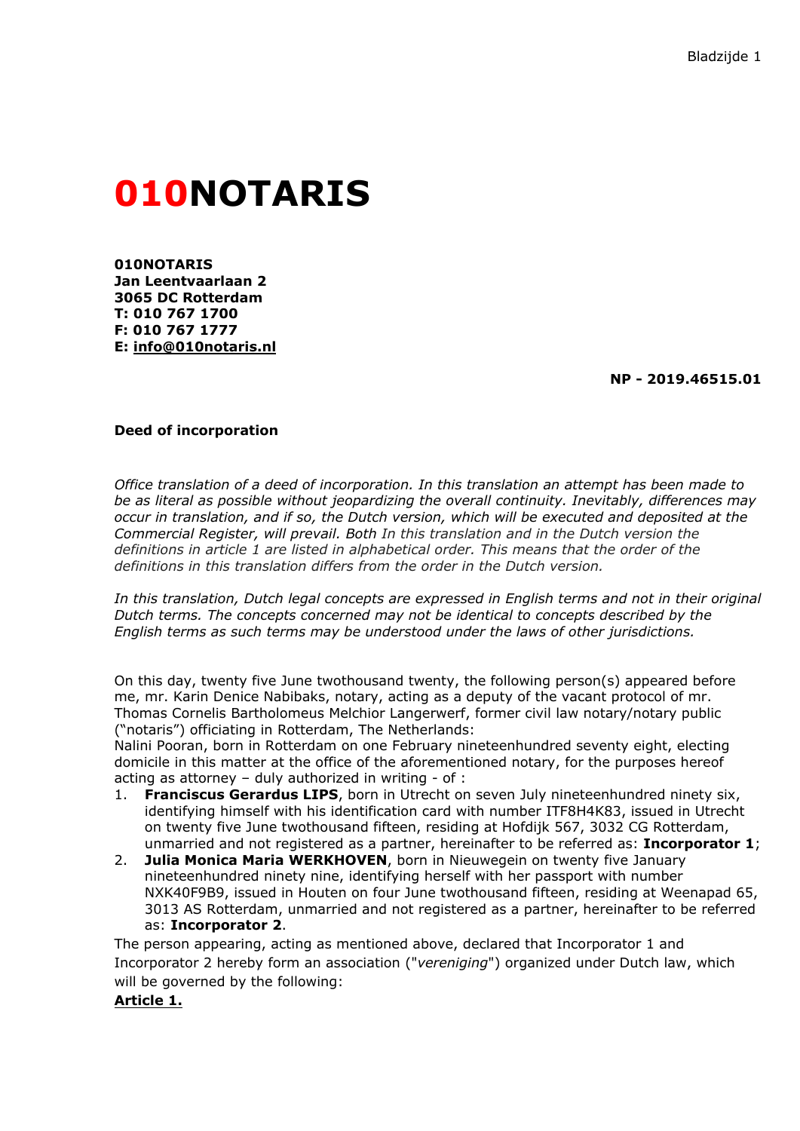# **010NOTARIS**

**010NOTARIS Jan Leentvaarlaan 2 3065 DC Rotterdam T: 010 767 1700 F: 010 767 1777 E: [info@010notaris.nl](mailto:info@010notaris.nl)**

**NP - 2019.46515.01**

#### **Deed of incorporation**

*Office translation of a deed of incorporation. In this translation an attempt has been made to be as literal as possible without jeopardizing the overall continuity. Inevitably, differences may occur in translation, and if so, the Dutch version, which will be executed and deposited at the Commercial Register, will prevail. Both In this translation and in the Dutch version the definitions in article 1 are listed in alphabetical order. This means that the order of the definitions in this translation differs from the order in the Dutch version.*

*In this translation, Dutch legal concepts are expressed in English terms and not in their original Dutch terms. The concepts concerned may not be identical to concepts described by the English terms as such terms may be understood under the laws of other jurisdictions.*

On this day, twenty five June twothousand twenty, the following person(s) appeared before me, mr. Karin Denice Nabibaks, notary, acting as a deputy of the vacant protocol of mr. Thomas Cornelis Bartholomeus Melchior Langerwerf, former civil law notary/notary public ("notaris") officiating in Rotterdam, The Netherlands:

Nalini Pooran, born in Rotterdam on one February nineteenhundred seventy eight, electing domicile in this matter at the office of the aforementioned notary, for the purposes hereof acting as attorney – duly authorized in writing - of :

- 1. **Franciscus Gerardus LIPS**, born in Utrecht on seven July nineteenhundred ninety six, identifying himself with his identification card with number ITF8H4K83, issued in Utrecht on twenty five June twothousand fifteen, residing at Hofdijk 567, 3032 CG Rotterdam, unmarried and not registered as a partner, hereinafter to be referred as: **Incorporator 1**;
- 2. **Julia Monica Maria WERKHOVEN**, born in Nieuwegein on twenty five January nineteenhundred ninety nine, identifying herself with her passport with number NXK40F9B9, issued in Houten on four June twothousand fifteen, residing at Weenapad 65, 3013 AS Rotterdam, unmarried and not registered as a partner, hereinafter to be referred as: **Incorporator 2**.

The person appearing, acting as mentioned above, declared that Incorporator 1 and Incorporator 2 hereby form an association ("*vereniging*") organized under Dutch law, which will be governed by the following:

#### **Article 1.**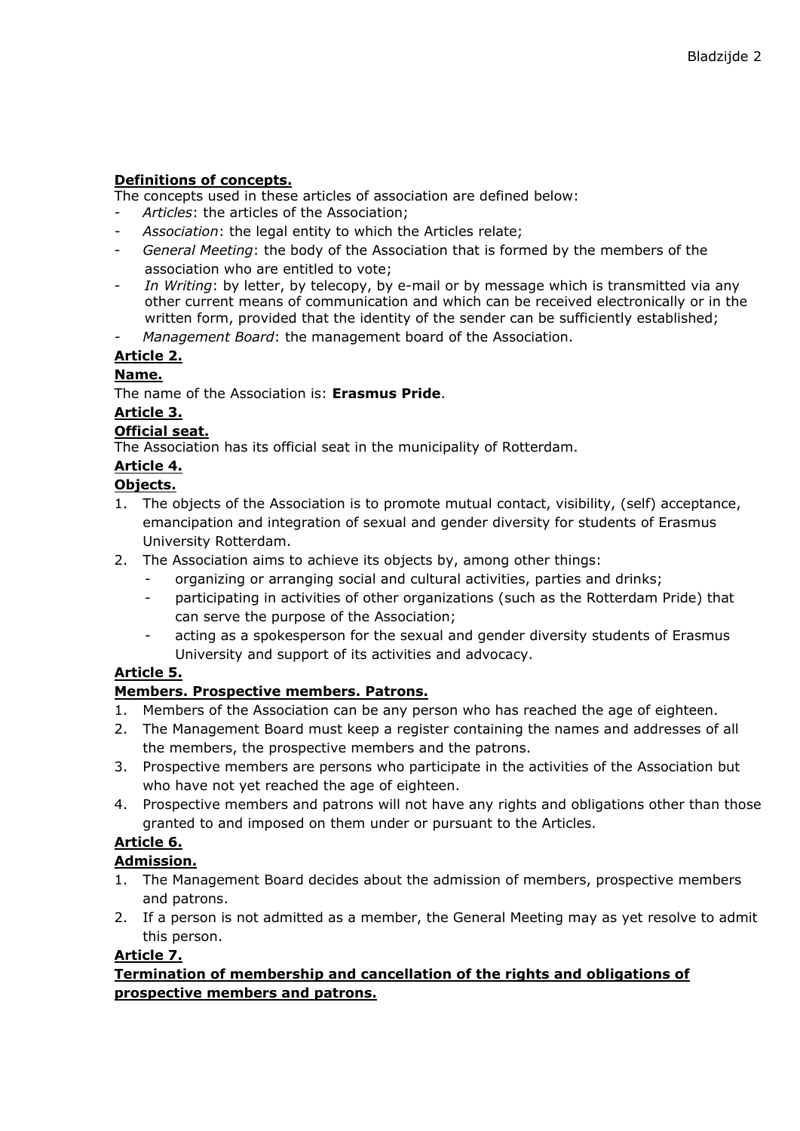# **Definitions of concepts.**

The concepts used in these articles of association are defined below:

- Articles: the articles of the Association;
- *Association*: the legal entity to which the Articles relate;
- *General Meeting*: the body of the Association that is formed by the members of the association who are entitled to vote;
- In Writing: by letter, by telecopy, by e-mail or by message which is transmitted via any other current means of communication and which can be received electronically or in the written form, provided that the identity of the sender can be sufficiently established;
- *Management Board*: the management board of the Association.

# **Article 2.**

# **Name.**

The name of the Association is: **Erasmus Pride**.

# **Article 3.**

# **Official seat.**

The Association has its official seat in the municipality of Rotterdam.

# **Article 4.**

# **Objects.**

- 1. The objects of the Association is to promote mutual contact, visibility, (self) acceptance, emancipation and integration of sexual and gender diversity for students of Erasmus University Rotterdam.
- 2. The Association aims to achieve its objects by, among other things:
	- organizing or arranging social and cultural activities, parties and drinks;
		- participating in activities of other organizations (such as the Rotterdam Pride) that can serve the purpose of the Association;
		- acting as a spokesperson for the sexual and gender diversity students of Erasmus University and support of its activities and advocacy.

# **Article 5.**

# **Members. Prospective members. Patrons.**

- 1. Members of the Association can be any person who has reached the age of eighteen.
- 2. The Management Board must keep a register containing the names and addresses of all the members, the prospective members and the patrons.
- 3. Prospective members are persons who participate in the activities of the Association but who have not yet reached the age of eighteen.
- 4. Prospective members and patrons will not have any rights and obligations other than those granted to and imposed on them under or pursuant to the Articles.

# **Article 6.**

# **Admission.**

- 1. The Management Board decides about the admission of members, prospective members and patrons.
- 2. If a person is not admitted as a member, the General Meeting may as yet resolve to admit this person.

# **Article 7.**

# **Termination of membership and cancellation of the rights and obligations of prospective members and patrons.**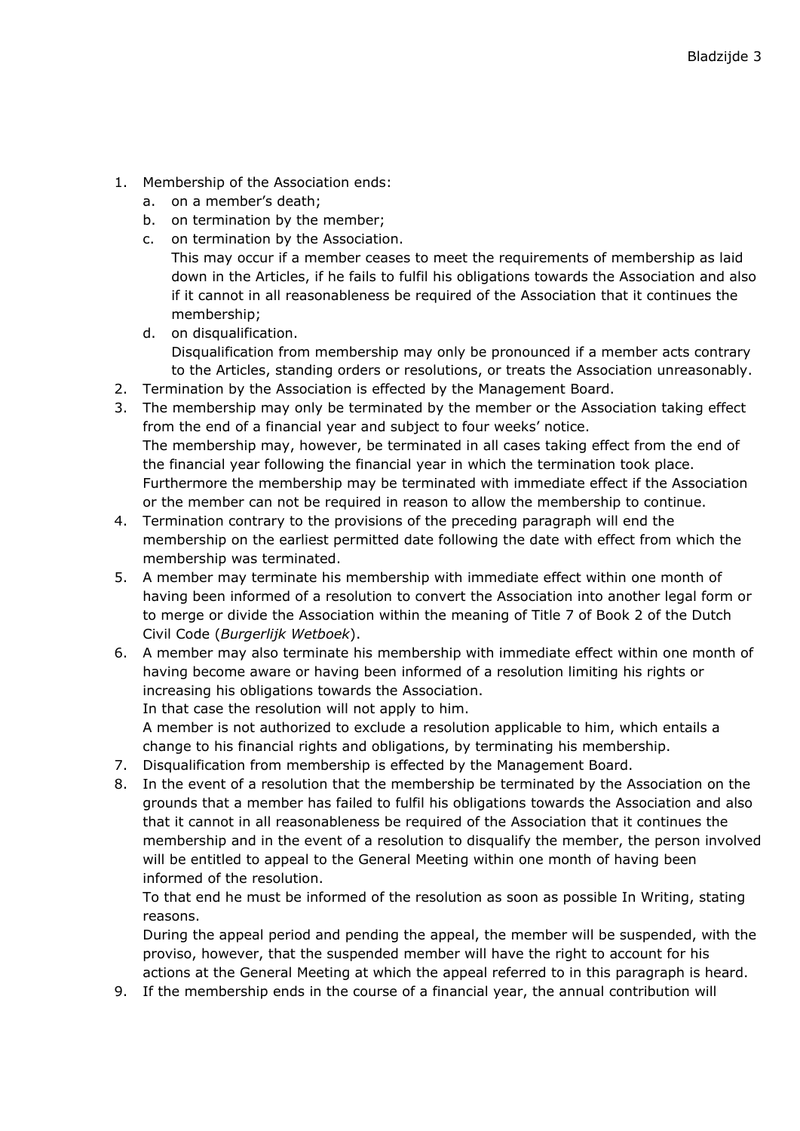- 1. Membership of the Association ends:
	- a. on a member's death;
	- b. on termination by the member;
	- c. on termination by the Association.

This may occur if a member ceases to meet the requirements of membership as laid down in the Articles, if he fails to fulfil his obligations towards the Association and also if it cannot in all reasonableness be required of the Association that it continues the membership;

- d. on disqualification. Disqualification from membership may only be pronounced if a member acts contrary to the Articles, standing orders or resolutions, or treats the Association unreasonably.
- 2. Termination by the Association is effected by the Management Board.
- 3. The membership may only be terminated by the member or the Association taking effect from the end of a financial year and subject to four weeks' notice. The membership may, however, be terminated in all cases taking effect from the end of the financial year following the financial year in which the termination took place. Furthermore the membership may be terminated with immediate effect if the Association or the member can not be required in reason to allow the membership to continue.
- 4. Termination contrary to the provisions of the preceding paragraph will end the membership on the earliest permitted date following the date with effect from which the membership was terminated.
- 5. A member may terminate his membership with immediate effect within one month of having been informed of a resolution to convert the Association into another legal form or to merge or divide the Association within the meaning of Title 7 of Book 2 of the Dutch Civil Code (*Burgerlijk Wetboek*).
- 6. A member may also terminate his membership with immediate effect within one month of having become aware or having been informed of a resolution limiting his rights or increasing his obligations towards the Association. In that case the resolution will not apply to him. A member is not authorized to exclude a resolution applicable to him, which entails a change to his financial rights and obligations, by terminating his membership.
- 7. Disqualification from membership is effected by the Management Board.
- 8. In the event of a resolution that the membership be terminated by the Association on the grounds that a member has failed to fulfil his obligations towards the Association and also that it cannot in all reasonableness be required of the Association that it continues the membership and in the event of a resolution to disqualify the member, the person involved will be entitled to appeal to the General Meeting within one month of having been informed of the resolution.

To that end he must be informed of the resolution as soon as possible In Writing, stating reasons.

During the appeal period and pending the appeal, the member will be suspended, with the proviso, however, that the suspended member will have the right to account for his actions at the General Meeting at which the appeal referred to in this paragraph is heard.

9. If the membership ends in the course of a financial year, the annual contribution will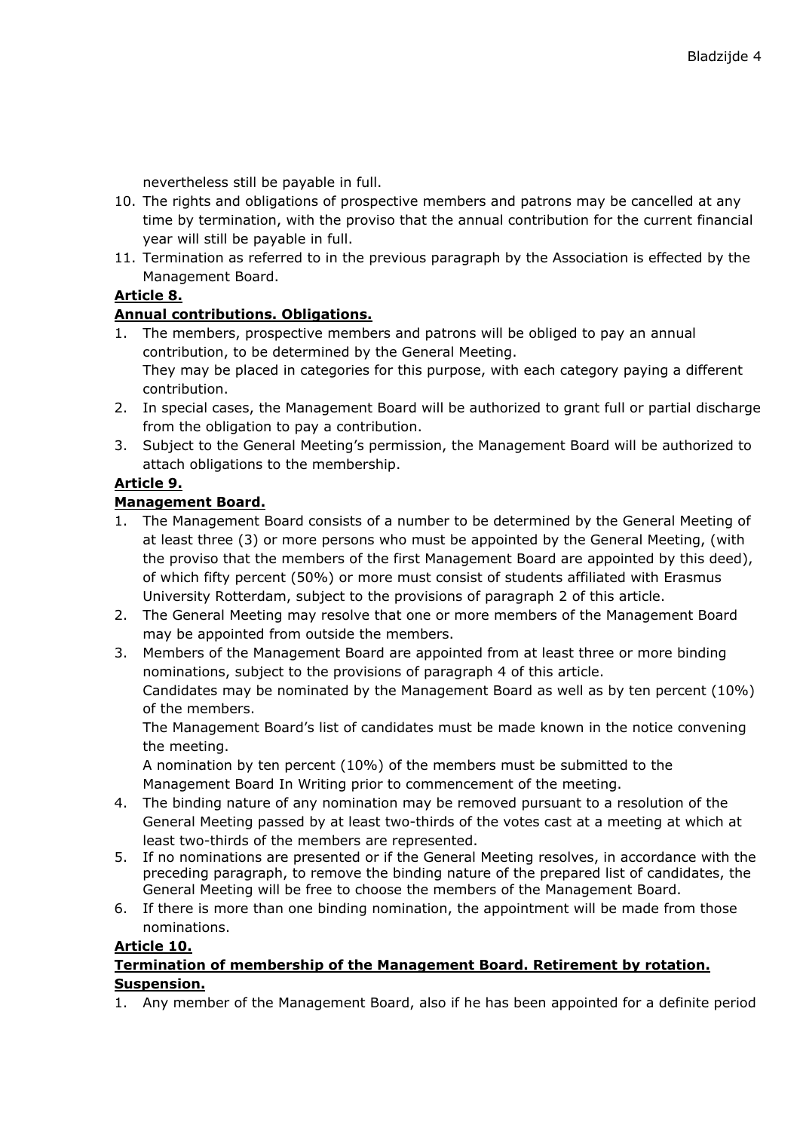nevertheless still be payable in full.

- 10. The rights and obligations of prospective members and patrons may be cancelled at any time by termination, with the proviso that the annual contribution for the current financial year will still be payable in full.
- 11. Termination as referred to in the previous paragraph by the Association is effected by the Management Board.

# **Article 8.**

#### **Annual contributions. Obligations.**

- 1. The members, prospective members and patrons will be obliged to pay an annual contribution, to be determined by the General Meeting. They may be placed in categories for this purpose, with each category paying a different contribution.
- 2. In special cases, the Management Board will be authorized to grant full or partial discharge from the obligation to pay a contribution.
- 3. Subject to the General Meeting's permission, the Management Board will be authorized to attach obligations to the membership.

# **Article 9.**

#### **Management Board.**

- 1. The Management Board consists of a number to be determined by the General Meeting of at least three (3) or more persons who must be appointed by the General Meeting, (with the proviso that the members of the first Management Board are appointed by this deed), of which fifty percent (50%) or more must consist of students affiliated with Erasmus University Rotterdam, subject to the provisions of paragraph 2 of this article.
- 2. The General Meeting may resolve that one or more members of the Management Board may be appointed from outside the members.
- 3. Members of the Management Board are appointed from at least three or more binding nominations, subject to the provisions of paragraph 4 of this article. Candidates may be nominated by the Management Board as well as by ten percent (10%) of the members.

The Management Board's list of candidates must be made known in the notice convening the meeting.

A nomination by ten percent (10%) of the members must be submitted to the Management Board In Writing prior to commencement of the meeting.

- 4. The binding nature of any nomination may be removed pursuant to a resolution of the General Meeting passed by at least two-thirds of the votes cast at a meeting at which at least two-thirds of the members are represented.
- 5. If no nominations are presented or if the General Meeting resolves, in accordance with the preceding paragraph, to remove the binding nature of the prepared list of candidates, the General Meeting will be free to choose the members of the Management Board.
- 6. If there is more than one binding nomination, the appointment will be made from those nominations.

#### **Article 10.**

#### **Termination of membership of the Management Board. Retirement by rotation. Suspension.**

1. Any member of the Management Board, also if he has been appointed for a definite period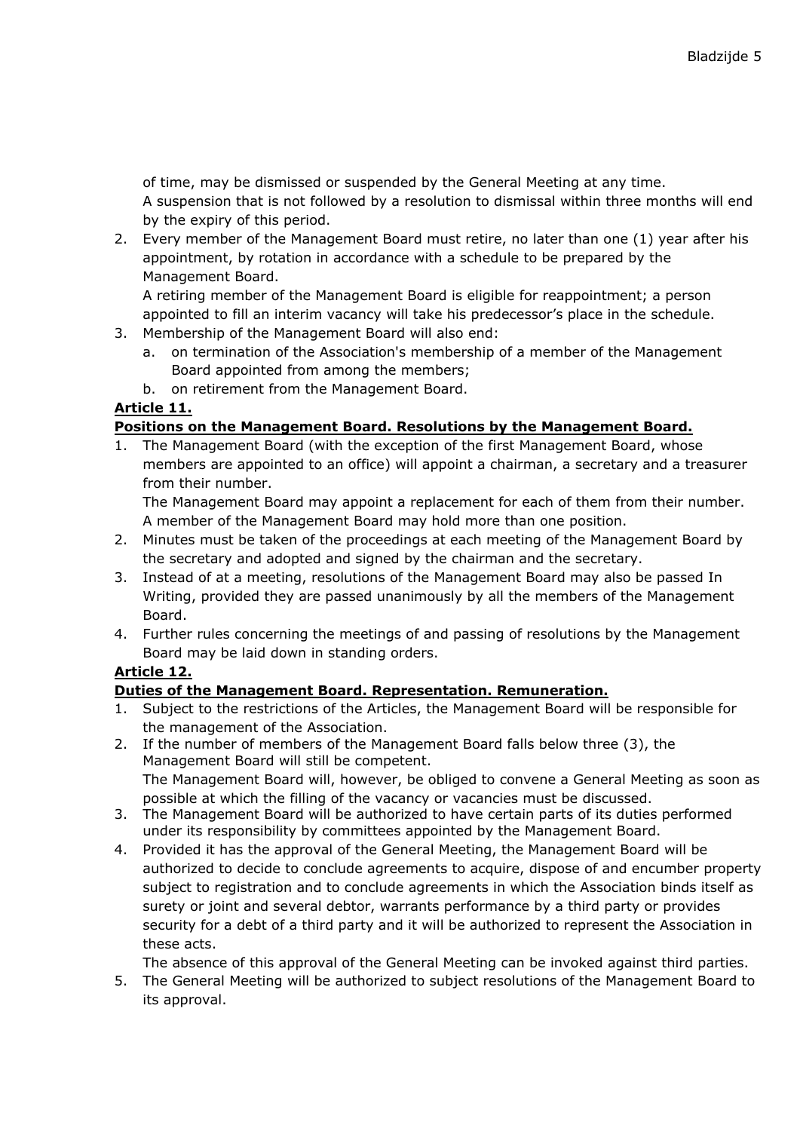of time, may be dismissed or suspended by the General Meeting at any time. A suspension that is not followed by a resolution to dismissal within three months will end by the expiry of this period.

2. Every member of the Management Board must retire, no later than one (1) year after his appointment, by rotation in accordance with a schedule to be prepared by the Management Board.

A retiring member of the Management Board is eligible for reappointment; a person appointed to fill an interim vacancy will take his predecessor's place in the schedule.

- 3. Membership of the Management Board will also end:
	- a. on termination of the Association's membership of a member of the Management Board appointed from among the members;
	- b. on retirement from the Management Board.

# **Article 11.**

# **Positions on the Management Board. Resolutions by the Management Board.**

1. The Management Board (with the exception of the first Management Board, whose members are appointed to an office) will appoint a chairman, a secretary and a treasurer from their number.

The Management Board may appoint a replacement for each of them from their number. A member of the Management Board may hold more than one position.

- 2. Minutes must be taken of the proceedings at each meeting of the Management Board by the secretary and adopted and signed by the chairman and the secretary.
- 3. Instead of at a meeting, resolutions of the Management Board may also be passed In Writing, provided they are passed unanimously by all the members of the Management Board.
- 4. Further rules concerning the meetings of and passing of resolutions by the Management Board may be laid down in standing orders.

# **Article 12.**

# **Duties of the Management Board. Representation. Remuneration.**

- 1. Subject to the restrictions of the Articles, the Management Board will be responsible for the management of the Association.
- 2. If the number of members of the Management Board falls below three (3), the Management Board will still be competent. The Management Board will, however, be obliged to convene a General Meeting as soon as possible at which the filling of the vacancy or vacancies must be discussed.
- 3. The Management Board will be authorized to have certain parts of its duties performed under its responsibility by committees appointed by the Management Board.
- 4. Provided it has the approval of the General Meeting, the Management Board will be authorized to decide to conclude agreements to acquire, dispose of and encumber property subject to registration and to conclude agreements in which the Association binds itself as surety or joint and several debtor, warrants performance by a third party or provides security for a debt of a third party and it will be authorized to represent the Association in these acts.

The absence of this approval of the General Meeting can be invoked against third parties.

5. The General Meeting will be authorized to subject resolutions of the Management Board to its approval.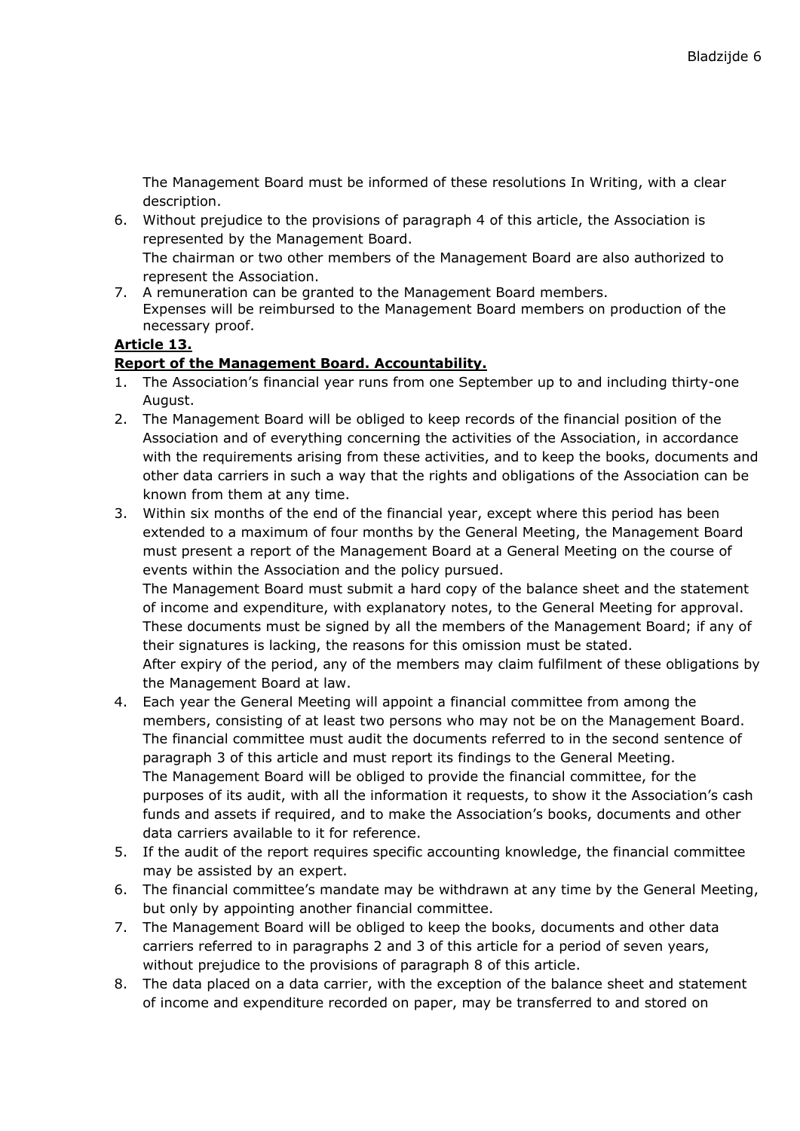The Management Board must be informed of these resolutions In Writing, with a clear description.

- 6. Without prejudice to the provisions of paragraph 4 of this article, the Association is represented by the Management Board. The chairman or two other members of the Management Board are also authorized to represent the Association.
- 7. A remuneration can be granted to the Management Board members. Expenses will be reimbursed to the Management Board members on production of the necessary proof.

# **Article 13.**

#### **Report of the Management Board. Accountability.**

- 1. The Association's financial year runs from one September up to and including thirty-one August.
- 2. The Management Board will be obliged to keep records of the financial position of the Association and of everything concerning the activities of the Association, in accordance with the requirements arising from these activities, and to keep the books, documents and other data carriers in such a way that the rights and obligations of the Association can be known from them at any time.
- 3. Within six months of the end of the financial year, except where this period has been extended to a maximum of four months by the General Meeting, the Management Board must present a report of the Management Board at a General Meeting on the course of events within the Association and the policy pursued.

The Management Board must submit a hard copy of the balance sheet and the statement of income and expenditure, with explanatory notes, to the General Meeting for approval. These documents must be signed by all the members of the Management Board; if any of their signatures is lacking, the reasons for this omission must be stated. After expiry of the period, any of the members may claim fulfilment of these obligations by the Management Board at law.

- 4. Each year the General Meeting will appoint a financial committee from among the members, consisting of at least two persons who may not be on the Management Board. The financial committee must audit the documents referred to in the second sentence of paragraph 3 of this article and must report its findings to the General Meeting. The Management Board will be obliged to provide the financial committee, for the purposes of its audit, with all the information it requests, to show it the Association's cash funds and assets if required, and to make the Association's books, documents and other data carriers available to it for reference.
- 5. If the audit of the report requires specific accounting knowledge, the financial committee may be assisted by an expert.
- 6. The financial committee's mandate may be withdrawn at any time by the General Meeting, but only by appointing another financial committee.
- 7. The Management Board will be obliged to keep the books, documents and other data carriers referred to in paragraphs 2 and 3 of this article for a period of seven years, without prejudice to the provisions of paragraph 8 of this article.
- 8. The data placed on a data carrier, with the exception of the balance sheet and statement of income and expenditure recorded on paper, may be transferred to and stored on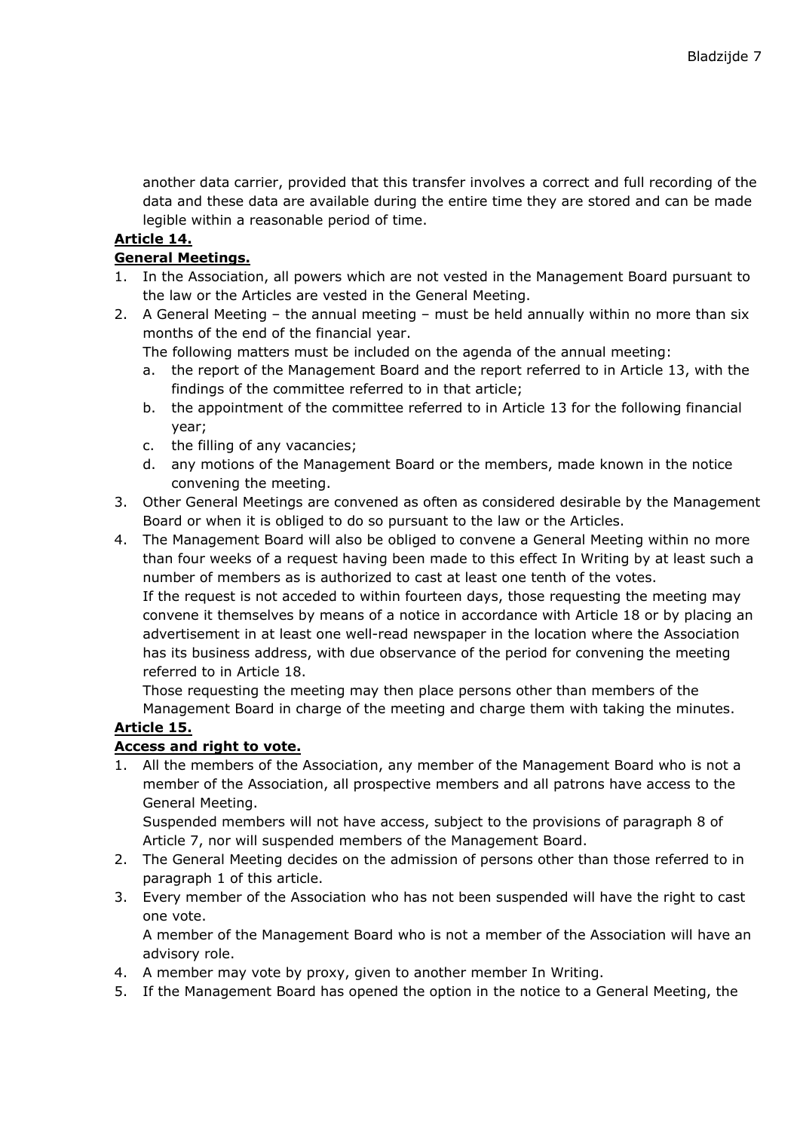another data carrier, provided that this transfer involves a correct and full recording of the data and these data are available during the entire time they are stored and can be made legible within a reasonable period of time.

# **Article 14.**

#### **General Meetings.**

- 1. In the Association, all powers which are not vested in the Management Board pursuant to the law or the Articles are vested in the General Meeting.
- 2. A General Meeting the annual meeting must be held annually within no more than six months of the end of the financial year.
	- The following matters must be included on the agenda of the annual meeting:
	- a. the report of the Management Board and the report referred to in Article 13, with the findings of the committee referred to in that article;
	- b. the appointment of the committee referred to in Article 13 for the following financial year;
	- c. the filling of any vacancies;
	- d. any motions of the Management Board or the members, made known in the notice convening the meeting.
- 3. Other General Meetings are convened as often as considered desirable by the Management Board or when it is obliged to do so pursuant to the law or the Articles.
- 4. The Management Board will also be obliged to convene a General Meeting within no more than four weeks of a request having been made to this effect In Writing by at least such a number of members as is authorized to cast at least one tenth of the votes. If the request is not acceded to within fourteen days, those requesting the meeting may convene it themselves by means of a notice in accordance with Article 18 or by placing an advertisement in at least one well-read newspaper in the location where the Association has its business address, with due observance of the period for convening the meeting referred to in Article 18.

Those requesting the meeting may then place persons other than members of the Management Board in charge of the meeting and charge them with taking the minutes.

# **Article 15.**

# **Access and right to vote.**

1. All the members of the Association, any member of the Management Board who is not a member of the Association, all prospective members and all patrons have access to the General Meeting.

Suspended members will not have access, subject to the provisions of paragraph 8 of Article 7, nor will suspended members of the Management Board.

- 2. The General Meeting decides on the admission of persons other than those referred to in paragraph 1 of this article.
- 3. Every member of the Association who has not been suspended will have the right to cast one vote.

A member of the Management Board who is not a member of the Association will have an advisory role.

- 4. A member may vote by proxy, given to another member In Writing.
- 5. If the Management Board has opened the option in the notice to a General Meeting, the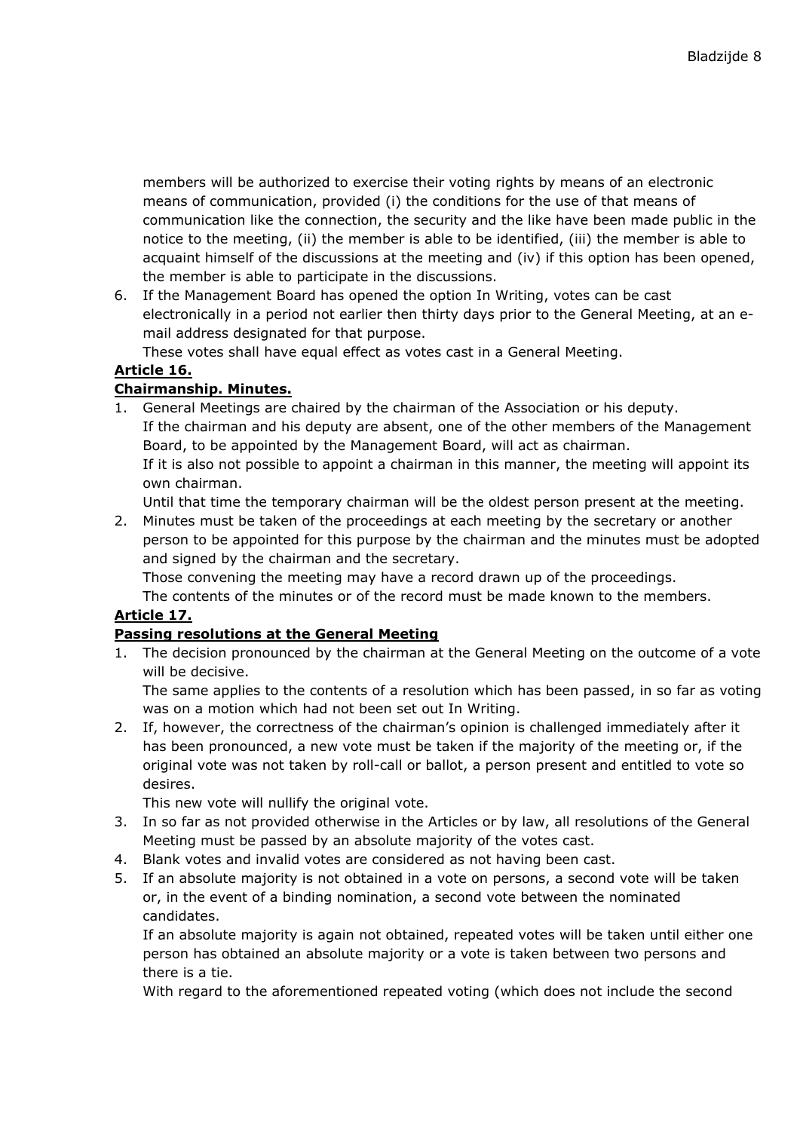members will be authorized to exercise their voting rights by means of an electronic means of communication, provided (i) the conditions for the use of that means of communication like the connection, the security and the like have been made public in the notice to the meeting, (ii) the member is able to be identified, (iii) the member is able to acquaint himself of the discussions at the meeting and (iv) if this option has been opened, the member is able to participate in the discussions.

6. If the Management Board has opened the option In Writing, votes can be cast electronically in a period not earlier then thirty days prior to the General Meeting, at an email address designated for that purpose.

These votes shall have equal effect as votes cast in a General Meeting.

# **Article 16.**

# **Chairmanship. Minutes.**

1. General Meetings are chaired by the chairman of the Association or his deputy. If the chairman and his deputy are absent, one of the other members of the Management Board, to be appointed by the Management Board, will act as chairman. If it is also not possible to appoint a chairman in this manner, the meeting will appoint its own chairman.

Until that time the temporary chairman will be the oldest person present at the meeting.

2. Minutes must be taken of the proceedings at each meeting by the secretary or another person to be appointed for this purpose by the chairman and the minutes must be adopted and signed by the chairman and the secretary.

Those convening the meeting may have a record drawn up of the proceedings.

The contents of the minutes or of the record must be made known to the members.

# **Article 17.**

# **Passing resolutions at the General Meeting**

1. The decision pronounced by the chairman at the General Meeting on the outcome of a vote will be decisive.

The same applies to the contents of a resolution which has been passed, in so far as voting was on a motion which had not been set out In Writing.

2. If, however, the correctness of the chairman's opinion is challenged immediately after it has been pronounced, a new vote must be taken if the majority of the meeting or, if the original vote was not taken by roll-call or ballot, a person present and entitled to vote so desires.

This new vote will nullify the original vote.

- 3. In so far as not provided otherwise in the Articles or by law, all resolutions of the General Meeting must be passed by an absolute majority of the votes cast.
- 4. Blank votes and invalid votes are considered as not having been cast.
- 5. If an absolute majority is not obtained in a vote on persons, a second vote will be taken or, in the event of a binding nomination, a second vote between the nominated candidates.

If an absolute majority is again not obtained, repeated votes will be taken until either one person has obtained an absolute majority or a vote is taken between two persons and there is a tie.

With regard to the aforementioned repeated voting (which does not include the second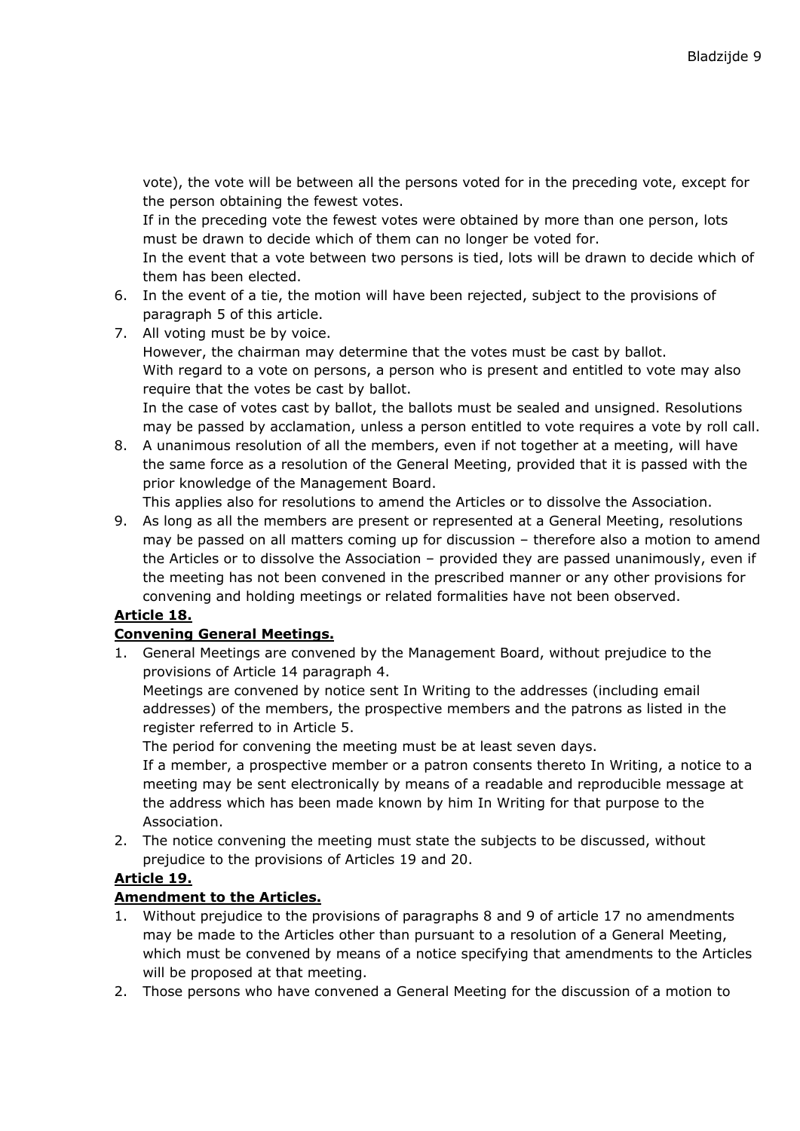vote), the vote will be between all the persons voted for in the preceding vote, except for the person obtaining the fewest votes.

If in the preceding vote the fewest votes were obtained by more than one person, lots must be drawn to decide which of them can no longer be voted for.

In the event that a vote between two persons is tied, lots will be drawn to decide which of them has been elected.

- 6. In the event of a tie, the motion will have been rejected, subject to the provisions of paragraph 5 of this article.
- 7. All voting must be by voice.

However, the chairman may determine that the votes must be cast by ballot. With regard to a vote on persons, a person who is present and entitled to vote may also require that the votes be cast by ballot.

In the case of votes cast by ballot, the ballots must be sealed and unsigned. Resolutions may be passed by acclamation, unless a person entitled to vote requires a vote by roll call.

8. A unanimous resolution of all the members, even if not together at a meeting, will have the same force as a resolution of the General Meeting, provided that it is passed with the prior knowledge of the Management Board.

This applies also for resolutions to amend the Articles or to dissolve the Association.

9. As long as all the members are present or represented at a General Meeting, resolutions may be passed on all matters coming up for discussion – therefore also a motion to amend the Articles or to dissolve the Association – provided they are passed unanimously, even if the meeting has not been convened in the prescribed manner or any other provisions for convening and holding meetings or related formalities have not been observed.

# **Article 18.**

# **Convening General Meetings.**

1. General Meetings are convened by the Management Board, without prejudice to the provisions of Article 14 paragraph 4.

Meetings are convened by notice sent In Writing to the addresses (including email addresses) of the members, the prospective members and the patrons as listed in the register referred to in Article 5.

The period for convening the meeting must be at least seven days.

If a member, a prospective member or a patron consents thereto In Writing, a notice to a meeting may be sent electronically by means of a readable and reproducible message at the address which has been made known by him In Writing for that purpose to the Association.

2. The notice convening the meeting must state the subjects to be discussed, without prejudice to the provisions of Articles 19 and 20.

# **Article 19.**

# **Amendment to the Articles.**

- 1. Without prejudice to the provisions of paragraphs 8 and 9 of article 17 no amendments may be made to the Articles other than pursuant to a resolution of a General Meeting, which must be convened by means of a notice specifying that amendments to the Articles will be proposed at that meeting.
- 2. Those persons who have convened a General Meeting for the discussion of a motion to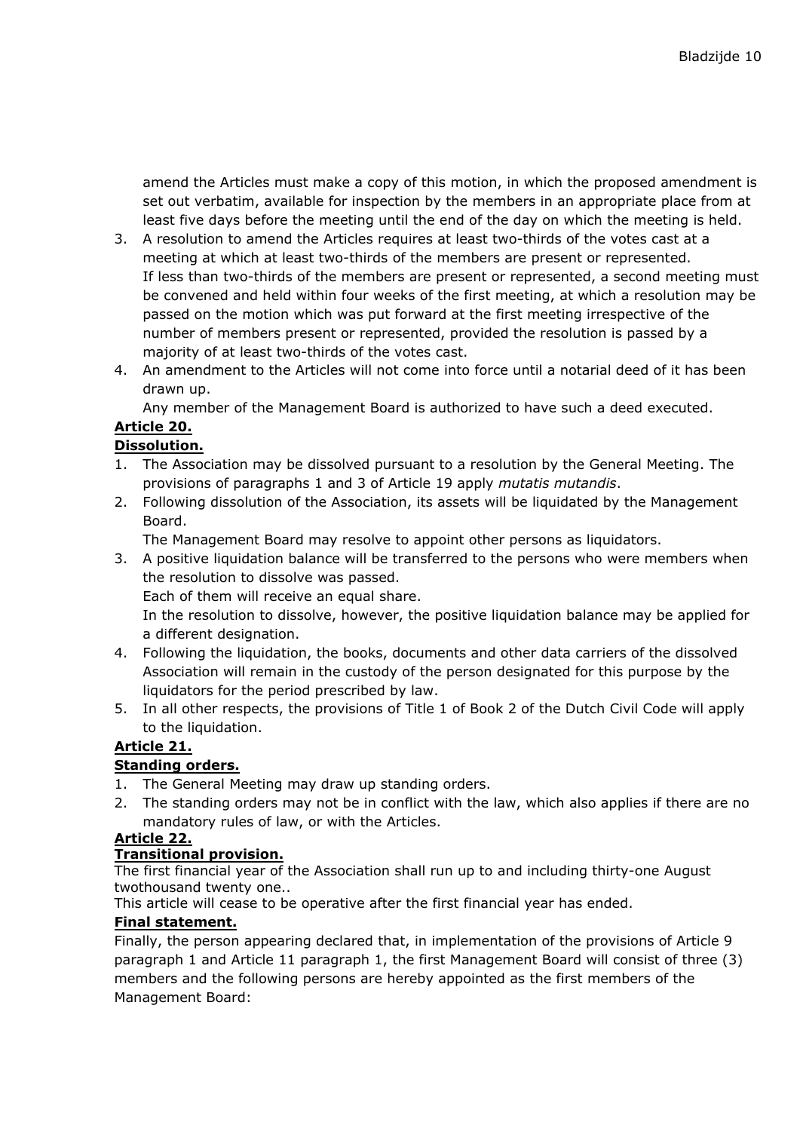amend the Articles must make a copy of this motion, in which the proposed amendment is set out verbatim, available for inspection by the members in an appropriate place from at least five days before the meeting until the end of the day on which the meeting is held.

- 3. A resolution to amend the Articles requires at least two-thirds of the votes cast at a meeting at which at least two-thirds of the members are present or represented. If less than two-thirds of the members are present or represented, a second meeting must be convened and held within four weeks of the first meeting, at which a resolution may be passed on the motion which was put forward at the first meeting irrespective of the number of members present or represented, provided the resolution is passed by a majority of at least two-thirds of the votes cast.
- 4. An amendment to the Articles will not come into force until a notarial deed of it has been drawn up.

Any member of the Management Board is authorized to have such a deed executed.

# **Article 20.**

# **Dissolution.**

- 1. The Association may be dissolved pursuant to a resolution by the General Meeting. The provisions of paragraphs 1 and 3 of Article 19 apply *mutatis mutandis*.
- 2. Following dissolution of the Association, its assets will be liquidated by the Management Board.

The Management Board may resolve to appoint other persons as liquidators.

3. A positive liquidation balance will be transferred to the persons who were members when the resolution to dissolve was passed. Each of them will receive an equal share.

In the resolution to dissolve, however, the positive liquidation balance may be applied for a different designation.

- 4. Following the liquidation, the books, documents and other data carriers of the dissolved Association will remain in the custody of the person designated for this purpose by the liquidators for the period prescribed by law.
- 5. In all other respects, the provisions of Title 1 of Book 2 of the Dutch Civil Code will apply to the liquidation.

# **Article 21.**

# **Standing orders.**

- 1. The General Meeting may draw up standing orders.
- 2. The standing orders may not be in conflict with the law, which also applies if there are no mandatory rules of law, or with the Articles.

# **Article 22.**

# **Transitional provision.**

The first financial year of the Association shall run up to and including thirty-one August twothousand twenty one..

This article will cease to be operative after the first financial year has ended.

# **Final statement.**

Finally, the person appearing declared that, in implementation of the provisions of Article 9 paragraph 1 and Article 11 paragraph 1, the first Management Board will consist of three (3) members and the following persons are hereby appointed as the first members of the Management Board: